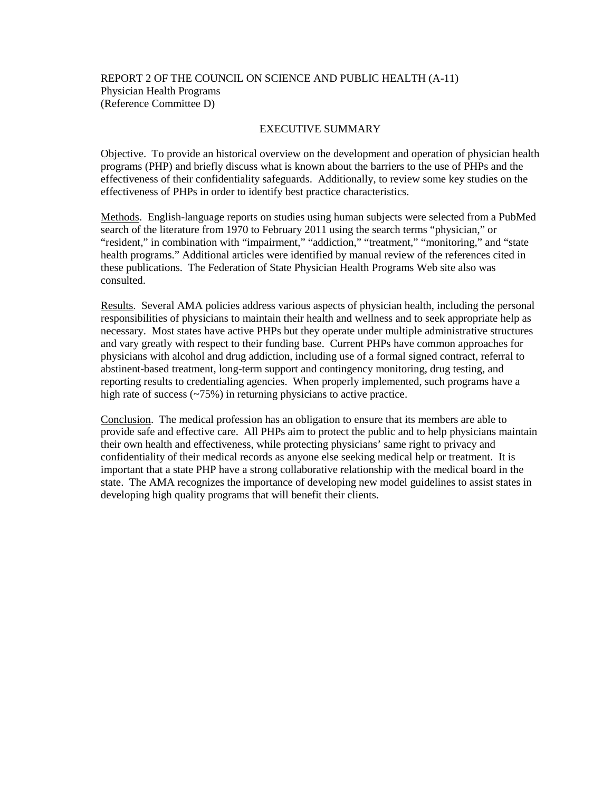#### REPORT 2 OF THE COUNCIL ON SCIENCE AND PUBLIC HEALTH (A-11) Physician Health Programs (Reference Committee D)

#### EXECUTIVE SUMMARY

Objective. To provide an historical overview on the development and operation of physician health programs (PHP) and briefly discuss what is known about the barriers to the use of PHPs and the effectiveness of their confidentiality safeguards. Additionally, to review some key studies on the effectiveness of PHPs in order to identify best practice characteristics.

Methods. English-language reports on studies using human subjects were selected from a PubMed search of the literature from 1970 to February 2011 using the search terms "physician," or "resident," in combination with "impairment," "addiction," "treatment," "monitoring," and "state health programs." Additional articles were identified by manual review of the references cited in these publications. The Federation of State Physician Health Programs Web site also was consulted.

Results. Several AMA policies address various aspects of physician health, including the personal responsibilities of physicians to maintain their health and wellness and to seek appropriate help as necessary. Most states have active PHPs but they operate under multiple administrative structures and vary greatly with respect to their funding base. Current PHPs have common approaches for physicians with alcohol and drug addiction, including use of a formal signed contract, referral to abstinent-based treatment, long-term support and contingency monitoring, drug testing, and reporting results to credentialing agencies. When properly implemented, such programs have a high rate of success (~75%) in returning physicians to active practice.

Conclusion. The medical profession has an obligation to ensure that its members are able to provide safe and effective care. All PHPs aim to protect the public and to help physicians maintain their own health and effectiveness, while protecting physicians' same right to privacy and confidentiality of their medical records as anyone else seeking medical help or treatment. It is important that a state PHP have a strong collaborative relationship with the medical board in the state. The AMA recognizes the importance of developing new model guidelines to assist states in developing high quality programs that will benefit their clients.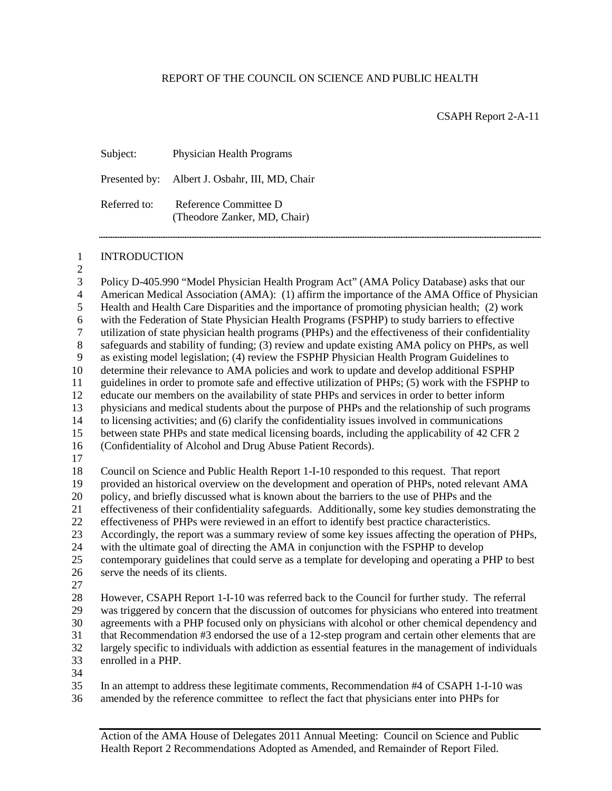## REPORT OF THE COUNCIL ON SCIENCE AND PUBLIC HEALTH

CSAPH Report 2-A-11

Subject: Physician Health Programs

Presented by: Albert J. Osbahr, III, MD, Chair

Referred to: Reference Committee D (Theodore Zanker, MD, Chair)

- INTRODUCTION
- 

 Policy D-405.990 "Model Physician Health Program Act" (AMA Policy Database) asks that our American Medical Association (AMA): (1) affirm the importance of the AMA Office of Physician Health and Health Care Disparities and the importance of promoting physician health; (2) work with the Federation of State Physician Health Programs (FSPHP) to study barriers to effective 7 utilization of state physician health programs (PHPs) and the effectiveness of their confidentiality<br>8 safeguards and stability of funding: (3) review and undate existing AMA policy on PHPs, as well 8 safeguards and stability of funding; (3) review and update existing AMA policy on PHPs, as well<br>9 as existing model legislation: (4) review the FSPHP Physician Health Program Guidelines to as existing model legislation; (4) review the FSPHP Physician Health Program Guidelines to determine their relevance to AMA policies and work to update and develop additional FSPHP guidelines in order to promote safe and effective utilization of PHPs; (5) work with the FSPHP to educate our members on the availability of state PHPs and services in order to better inform physicians and medical students about the purpose of PHPs and the relationship of such programs to licensing activities; and (6) clarify the confidentiality issues involved in communications between state PHPs and state medical licensing boards, including the applicability of 42 CFR 2 (Confidentiality of Alcohol and Drug Abuse Patient Records). Council on Science and Public Health Report 1-I-10 responded to this request. That report provided an historical overview on the development and operation of PHPs, noted relevant AMA policy, and briefly discussed what is known about the barriers to the use of PHPs and the effectiveness of their confidentiality safeguards. Additionally, some key studies demonstrating the effectiveness of PHPs were reviewed in an effort to identify best practice characteristics. Accordingly, the report was a summary review of some key issues affecting the operation of PHPs, with the ultimate goal of directing the AMA in conjunction with the FSPHP to develop contemporary guidelines that could serve as a template for developing and operating a PHP to best serve the needs of its clients. However, CSAPH Report 1-I-10 was referred back to the Council for further study. The referral was triggered by concern that the discussion of outcomes for physicians who entered into treatment agreements with a PHP focused only on physicians with alcohol or other chemical dependency and that Recommendation #3 endorsed the use of a 12-step program and certain other elements that are largely specific to individuals with addiction as essential features in the management of individuals enrolled in a PHP. 

- In an attempt to address these legitimate comments, Recommendation #4 of CSAPH 1-I-10 was
- amended by the reference committee to reflect the fact that physicians enter into PHPs for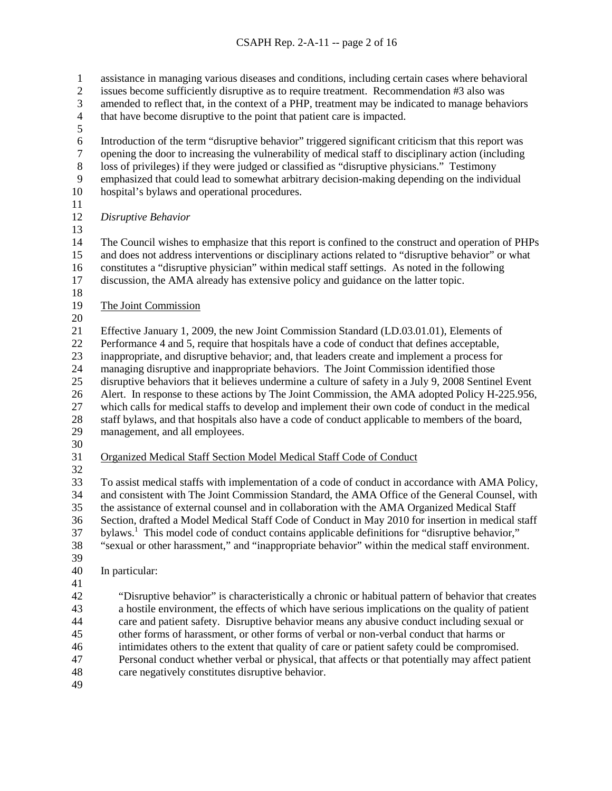assistance in managing various diseases and conditions, including certain cases where behavioral issues become sufficiently disruptive as to require treatment. Recommendation #3 also was 3 amended to reflect that, in the context of a PHP, treatment may be indicated to manage behaviors that have become disruptive to the point that patient care is impacted. that have become disruptive to the point that patient care is impacted. Introduction of the term "disruptive behavior" triggered significant criticism that this report was 7 opening the door to increasing the vulnerability of medical staff to disciplinary action (including<br>8 loss of privileges) if they were judged or classified as "disruptive physicians." Testimony loss of privileges) if they were judged or classified as "disruptive physicians." Testimony emphasized that could lead to somewhat arbitrary decision-making depending on the individual hospital's bylaws and operational procedures. *Disruptive Behavior* The Council wishes to emphasize that this report is confined to the construct and operation of PHPs and does not address interventions or disciplinary actions related to "disruptive behavior" or what constitutes a "disruptive physician" within medical staff settings. As noted in the following discussion, the AMA already has extensive policy and guidance on the latter topic. The Joint Commission Effective January 1, 2009, the new Joint Commission Standard (LD.03.01.01), Elements of Performance 4 and 5, require that hospitals have a code of conduct that defines acceptable, inappropriate, and disruptive behavior; and, that leaders create and implement a process for managing disruptive and inappropriate behaviors. The Joint Commission identified those disruptive behaviors that it believes undermine a culture of safety in a July 9, 2008 Sentinel Event Alert. In response to these actions by The Joint Commission, the AMA adopted Policy H-225.956, which calls for medical staffs to develop and implement their own code of conduct in the medical 28 staff bylaws, and that hospitals also have a code of conduct applicable to members of the board,<br>29 management, and all employees. management, and all employees. Organized Medical Staff Section Model Medical Staff Code of Conduct To assist medical staffs with implementation of a code of conduct in accordance with AMA Policy, and consistent with The Joint Commission Standard, the AMA Office of the General Counsel, with the assistance of external counsel and in collaboration with the AMA Organized Medical Staff Section, drafted a Model Medical Staff Code of Conduct in May 2010 for insertion in medical staff 37 bylaws.<sup>1</sup> This model code of conduct contains applicable definitions for "disruptive behavior," "sexual or other harassment," and "inappropriate behavior" within the medical staff environment. In particular: "Disruptive behavior" is characteristically a chronic or habitual pattern of behavior that creates a hostile environment, the effects of which have serious implications on the quality of patient care and patient safety. Disruptive behavior means any abusive conduct including sexual or other forms of harassment, or other forms of verbal or non-verbal conduct that harms or intimidates others to the extent that quality of care or patient safety could be compromised. Personal conduct whether verbal or physical, that affects or that potentially may affect patient care negatively constitutes disruptive behavior.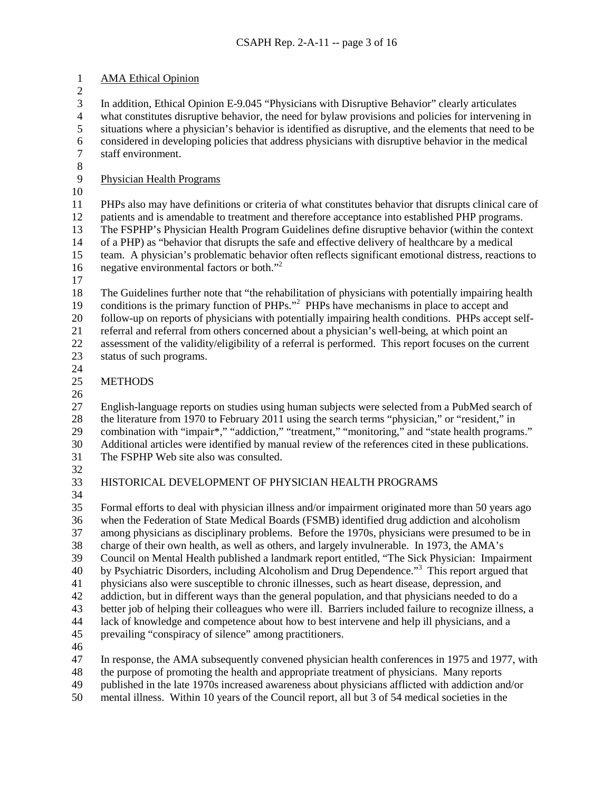- AMA Ethical Opinion
- 

 In addition, Ethical Opinion E-9.045 "Physicians with Disruptive Behavior" clearly articulates 4 what constitutes disruptive behavior, the need for bylaw provisions and policies for intervening in situations where a physician's behavior is identified as disruptive, and the elements that need to be situations where a physician's behavior is identified as disruptive, and the elements that need to be considered in developing policies that address physicians with disruptive behavior in the medical staff environment.

- 
- Physician Health Programs
- 

 PHPs also may have definitions or criteria of what constitutes behavior that disrupts clinical care of patients and is amendable to treatment and therefore acceptance into established PHP programs. 13 The FSPHP's Physician Health Program Guidelines define disruptive behavior (within the context of a PHP) as "behavior that disrupts the safe and effective delivery of healthcare by a medical of a PHP) as "behavior that disrupts the safe and effective delivery of healthcare by a medical team. A physician's problematic behavior often reflects significant emotional distress, reactions to 16 negative environmental factors or both. $^{32}$ 

 The Guidelines further note that "the rehabilitation of physicians with potentially impairing health 19 conditions is the primary function of PHPs."<sup>2</sup> PHPs have mechanisms in place to accept and follow-up on reports of physicians with potentially impairing health conditions. PHPs accept self-referral and referral from others concerned about a physician's well-being, at which point an

assessment of the validity/eligibility of a referral is performed. This report focuses on the current

- status of such programs.
- 

## METHODS

 English-language reports on studies using human subjects were selected from a PubMed search of 28 the literature from 1970 to February 2011 using the search terms "physician," or "resident," in<br>29 combination with "impair\*," "addiction," "treatment," "monitoring," and "state health program combination with "impair\*," "addiction," "treatment," "monitoring," and "state health programs." Additional articles were identified by manual review of the references cited in these publications. The FSPHP Web site also was consulted.

# HISTORICAL DEVELOPMENT OF PHYSICIAN HEALTH PROGRAMS

 Formal efforts to deal with physician illness and/or impairment originated more than 50 years ago when the Federation of State Medical Boards (FSMB) identified drug addiction and alcoholism among physicians as disciplinary problems. Before the 1970s, physicians were presumed to be in charge of their own health, as well as others, and largely invulnerable. In 1973, the AMA's Council on Mental Health published a landmark report entitled, "The Sick Physician: Impairment 40 by Psychiatric Disorders, including Alcoholism and Drug Dependence."<sup>3</sup> This report argued that physicians also were susceptible to chronic illnesses, such as heart disease, depression, and addiction, but in different ways than the general population, and that physicians needed to do a better job of helping their colleagues who were ill. Barriers included failure to recognize illness, a lack of knowledge and competence about how to best intervene and help ill physicians, and a prevailing "conspiracy of silence" among practitioners.

In response, the AMA subsequently convened physician health conferences in 1975 and 1977, with

- the purpose of promoting the health and appropriate treatment of physicians. Many reports
- published in the late 1970s increased awareness about physicians afflicted with addiction and/or
- mental illness. Within 10 years of the Council report, all but 3 of 54 medical societies in the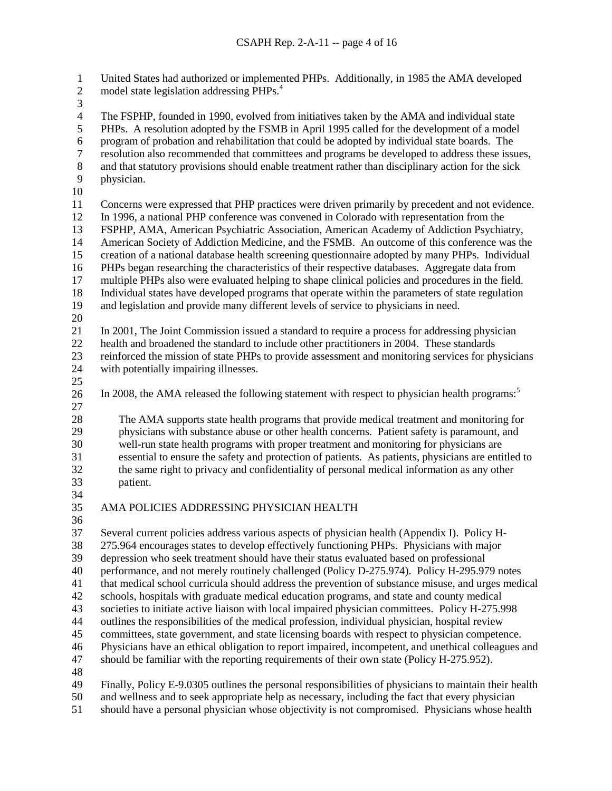United States had authorized or implemented PHPs. Additionally, in 1985 the AMA developed 2 model state legislation addressing PHPs.<sup>4</sup> 3<br>4 4 The FSPHP, founded in 1990, evolved from initiatives taken by the AMA and individual state<br>5 PHPs. A resolution adopted by the FSMB in April 1995 called for the development of a model PHPs. A resolution adopted by the FSMB in April 1995 called for the development of a model program of probation and rehabilitation that could be adopted by individual state boards. The 7 resolution also recommended that committees and programs be developed to address these issues,<br>8 and that statutory provisions should enable treatment rather than disciplinary action for the sick and that statutory provisions should enable treatment rather than disciplinary action for the sick physician. Concerns were expressed that PHP practices were driven primarily by precedent and not evidence. In 1996, a national PHP conference was convened in Colorado with representation from the 13 FSPHP, AMA, American Psychiatric Association, American Academy of Addiction Psychiatry,<br>14 American Society of Addiction Medicine, and the FSMB. An outcome of this conference was the American Society of Addiction Medicine, and the FSMB. An outcome of this conference was the creation of a national database health screening questionnaire adopted by many PHPs. Individual PHPs began researching the characteristics of their respective databases. Aggregate data from multiple PHPs also were evaluated helping to shape clinical policies and procedures in the field. Individual states have developed programs that operate within the parameters of state regulation and legislation and provide many different levels of service to physicians in need.  $\frac{20}{21}$  In 2001, The Joint Commission issued a standard to require a process for addressing physician health and broadened the standard to include other practitioners in 2004. These standards reinforced the mission of state PHPs to provide assessment and monitoring services for physicians with potentially impairing illnesses. 26 In 2008, the AMA released the following statement with respect to physician health programs:<sup>5</sup> 28 The AMA supports state health programs that provide medical treatment and monitoring for<br>29 hysicians with substance abuse or other health concerns. Patient safety is paramount, and physicians with substance abuse or other health concerns. Patient safety is paramount, and well-run state health programs with proper treatment and monitoring for physicians are essential to ensure the safety and protection of patients. As patients, physicians are entitled to the same right to privacy and confidentiality of personal medical information as any other patient. AMA POLICIES ADDRESSING PHYSICIAN HEALTH Several current policies address various aspects of physician health (Appendix I). Policy H- 275.964 encourages states to develop effectively functioning PHPs. Physicians with major depression who seek treatment should have their status evaluated based on professional performance, and not merely routinely challenged (Policy D-275.974). Policy H-295.979 notes that medical school curricula should address the prevention of substance misuse, and urges medical schools, hospitals with graduate medical education programs, and state and county medical societies to initiate active liaison with local impaired physician committees. Policy H-275.998 outlines the responsibilities of the medical profession, individual physician, hospital review committees, state government, and state licensing boards with respect to physician competence. Physicians have an ethical obligation to report impaired, incompetent, and unethical colleagues and should be familiar with the reporting requirements of their own state (Policy H-275.952). Finally, Policy E-9.0305 outlines the personal responsibilities of physicians to maintain their health

- and wellness and to seek appropriate help as necessary, including the fact that every physician
- should have a personal physician whose objectivity is not compromised. Physicians whose health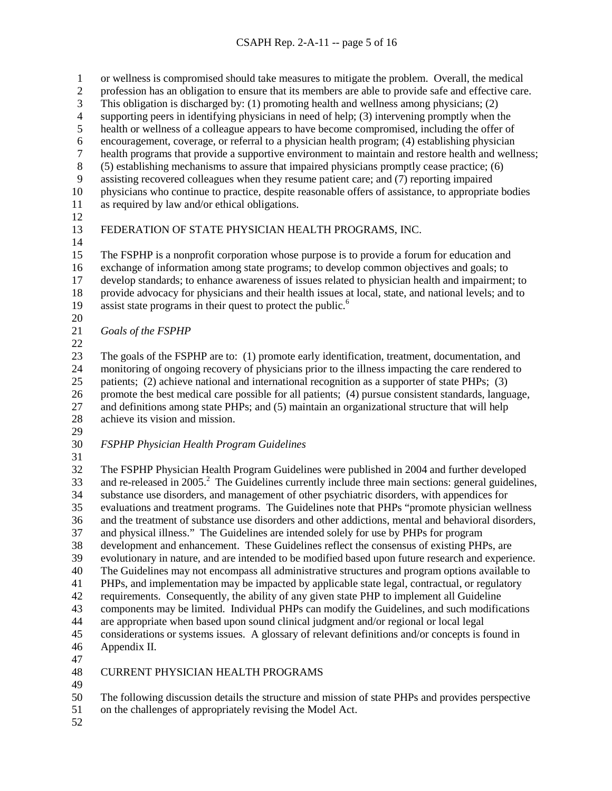or wellness is compromised should take measures to mitigate the problem. Overall, the medical profession has an obligation to ensure that its members are able to provide safe and effective care. 3 This obligation is discharged by: (1) promoting health and wellness among physicians; (2) supporting peers in identifying physicians in need of help; (3) intervening promptly when the 4 supporting peers in identifying physicians in need of help; (3) intervening promptly when the health or wellness of a colleague appears to have become compromised, including the offer of health or wellness of a colleague appears to have become compromised, including the offer of encouragement, coverage, or referral to a physician health program; (4) establishing physician 7 health programs that provide a supportive environment to maintain and restore health and wellness;<br>8 (5) establishing mechanisms to assure that impaired physicians promptly cease practice: (6)  $(5)$  establishing mechanisms to assure that impaired physicians promptly cease practice;  $(6)$  assisting recovered colleagues when they resume patient care; and (7) reporting impaired physicians who continue to practice, despite reasonable offers of assistance, to appropriate bodies as required by law and/or ethical obligations. FEDERATION OF STATE PHYSICIAN HEALTH PROGRAMS, INC. The FSPHP is a nonprofit corporation whose purpose is to provide a forum for education and exchange of information among state programs; to develop common objectives and goals; to develop standards; to enhance awareness of issues related to physician health and impairment; to provide advocacy for physicians and their health issues at local, state, and national levels; and to 19 assist state programs in their quest to protect the public.<sup>6</sup> *Goals of the FSPHP* The goals of the FSPHP are to: (1) promote early identification, treatment, documentation, and monitoring of ongoing recovery of physicians prior to the illness impacting the care rendered to patients; (2) achieve national and international recognition as a supporter of state PHPs; (3) promote the best medical care possible for all patients; (4) pursue consistent standards, language,

 and definitions among state PHPs; and (5) maintain an organizational structure that will help achieve its vision and mission.

*FSPHP Physician Health Program Guidelines*

 The FSPHP Physician Health Program Guidelines were published in 2004 and further developed 33 and re-released in 2005.<sup>2</sup> The Guidelines currently include three main sections: general guidelines, substance use disorders, and management of other psychiatric disorders, with appendices for evaluations and treatment programs. The Guidelines note that PHPs "promote physician wellness and the treatment of substance use disorders and other addictions, mental and behavioral disorders, and physical illness." The Guidelines are intended solely for use by PHPs for program development and enhancement. These Guidelines reflect the consensus of existing PHPs, are evolutionary in nature, and are intended to be modified based upon future research and experience. The Guidelines may not encompass all administrative structures and program options available to PHPs, and implementation may be impacted by applicable state legal, contractual, or regulatory requirements. Consequently, the ability of any given state PHP to implement all Guideline components may be limited. Individual PHPs can modify the Guidelines, and such modifications are appropriate when based upon sound clinical judgment and/or regional or local legal considerations or systems issues. A glossary of relevant definitions and/or concepts is found in Appendix II.

# CURRENT PHYSICIAN HEALTH PROGRAMS

The following discussion details the structure and mission of state PHPs and provides perspective

on the challenges of appropriately revising the Model Act.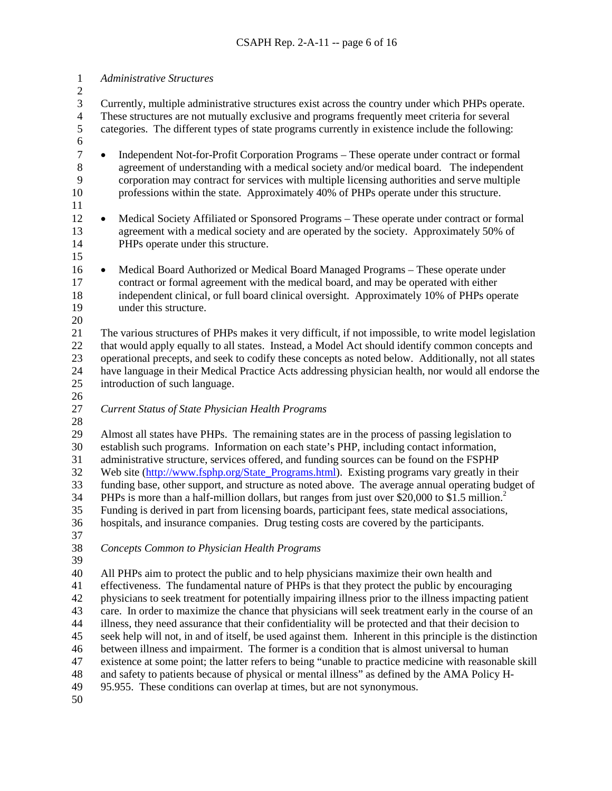*Administrative Structures*

6<br>7

 Currently, multiple administrative structures exist across the country under which PHPs operate. 4 These structures are not mutually exclusive and programs frequently meet criteria for several<br>5 categories. The different types of state programs currently in existence include the following: categories. The different types of state programs currently in existence include the following:

- <sup>7</sup> Independent Not-for-Profit Corporation Programs These operate under contract or formal agreement of understanding with a medical society and/or medical board. The independent agreement of understanding with a medical society and/or medical board. The independent corporation may contract for services with multiple licensing authorities and serve multiple
- professions within the state. Approximately 40% of PHPs operate under this structure.
- 
- 
- Medical Society Affiliated or Sponsored Programs These operate under contract or formal agreement with a medical society and are operated by the society. Approximately 50% of PHPs operate under this structure.
- 
- Medical Board Authorized or Medical Board Managed Programs These operate under contract or formal agreement with the medical board, and may be operated with either 18 independent clinical, or full board clinical oversight. Approximately 10% of PHPs operate under this structure. under this structure.
- 

 The various structures of PHPs makes it very difficult, if not impossible, to write model legislation that would apply equally to all states. Instead, a Model Act should identify common concepts and operational precepts, and seek to codify these concepts as noted below. Additionally, not all states have language in their Medical Practice Acts addressing physician health, nor would all endorse the introduction of such language.

*Current Status of State Physician Health Programs*

 $\frac{28}{29}$ 

 Almost all states have PHPs. The remaining states are in the process of passing legislation to establish such programs. Information on each state's PHP, including contact information, administrative structure, services offered, and funding sources can be found on the FSPHP 32 Web site [\(http://www.fsphp.org/State\\_Programs.html\)](http://www.fsphp.org/State_Programs.html). Existing programs vary greatly in their funding base, other support, and structure as noted above. The average annual operating budget of 34 PHPs is more than a half-million dollars, but ranges from just over \$20,000 to \$1.5 million.<sup>2</sup> Funding is derived in part from licensing boards, participant fees, state medical associations, hospitals, and insurance companies. Drug testing costs are covered by the participants.

*Concepts Common to Physician Health Programs*

 All PHPs aim to protect the public and to help physicians maximize their own health and effectiveness. The fundamental nature of PHPs is that they protect the public by encouraging physicians to seek treatment for potentially impairing illness prior to the illness impacting patient care. In order to maximize the chance that physicians will seek treatment early in the course of an illness, they need assurance that their confidentiality will be protected and that their decision to seek help will not, in and of itself, be used against them. Inherent in this principle is the distinction between illness and impairment. The former is a condition that is almost universal to human existence at some point; the latter refers to being "unable to practice medicine with reasonable skill and safety to patients because of physical or mental illness" as defined by the AMA Policy H- 95.955. These conditions can overlap at times, but are not synonymous.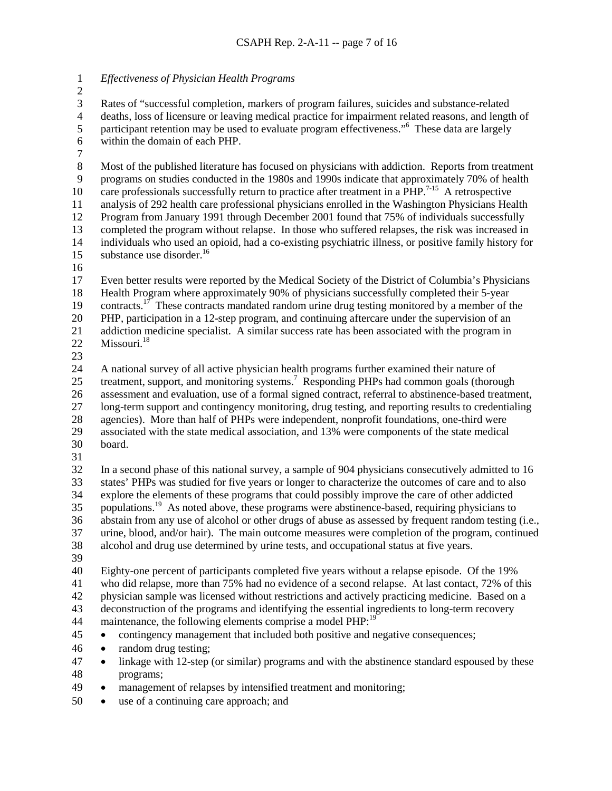*Effectiveness of Physician Health Programs*

3 Rates of "successful completion, markers of program failures, suicides and substance-related<br>4 deaths, loss of licensure or leaving medical practice for impairment related reasons, and lengtl 4 deaths, loss of licensure or leaving medical practice for impairment related reasons, and length of participant retention may be used to evaluate program effectiveness."<sup>6</sup> These data are largely participant retention may be used to evaluate program effectiveness."<sup>6</sup> These data are largely within the domain of each PHP.

 $\begin{array}{c} 7 \\ 8 \end{array}$ Most of the published literature has focused on physicians with addiction. Reports from treatment programs on studies conducted in the 1980s and 1990s indicate that approximately 70% of health 10 care professionals successfully return to practice after treatment in a PHP.<sup>7-15</sup> A retrospective analysis of 292 health care professional physicians enrolled in the Washington Physicians Health Program from January 1991 through December 2001 found that 75% of individuals successfully 13 completed the program without relapse. In those who suffered relapses, the risk was increased in<br>14 individuals who used an opioid, had a co-existing psychiatric illness, or positive family history for individuals who used an opioid, had a co-existing psychiatric illness, or positive family history for 15 substance use disorder.<sup>16</sup>

 Even better results were reported by the Medical Society of the District of Columbia's Physicians Health Program where approximately 90% of physicians successfully completed their 5-year 19 contracts.<sup>17</sup> These contracts mandated random urine drug testing monitored by a member of the PHP, participation in a 12-step program, and continuing aftercare under the supervision of an addiction medicine specialist. A similar success rate has been associated with the program in

- 22 Missouri.<sup>18</sup>
- 

 A national survey of all active physician health programs further examined their nature of 25 treatment, support, and monitoring systems.<sup>7</sup> Responding PHPs had common goals (thorough assessment and evaluation, use of a formal signed contract, referral to abstinence-based treatment, long-term support and contingency monitoring, drug testing, and reporting results to credentialing 28 agencies). More than half of PHPs were independent, nonprofit foundations, one-third were<br>29 associated with the state medical association, and 13% were components of the state medical associated with the state medical association, and 13% were components of the state medical board.

 In a second phase of this national survey, a sample of 904 physicians consecutively admitted to 16 states' PHPs was studied for five years or longer to characterize the outcomes of care and to also explore the elements of these programs that could possibly improve the care of other addicted populations.<sup>19</sup> As noted above, these programs were abstinence-based, requiring physicians to abstain from any use of alcohol or other drugs of abuse as assessed by frequent random testing (i.e., urine, blood, and/or hair). The main outcome measures were completion of the program, continued alcohol and drug use determined by urine tests, and occupational status at five years.

 Eighty-one percent of participants completed five years without a relapse episode. Of the 19% who did relapse, more than 75% had no evidence of a second relapse. At last contact, 72% of this

 physician sample was licensed without restrictions and actively practicing medicine. Based on a deconstruction of the programs and identifying the essential ingredients to long-term recovery

44 maintenance, the following elements comprise a model PHP:<sup>19</sup>

• contingency management that included both positive and negative consequences;

- random drug testing;
- linkage with 12-step (or similar) programs and with the abstinence standard espoused by these programs;
- management of relapses by intensified treatment and monitoring;
- use of a continuing care approach; and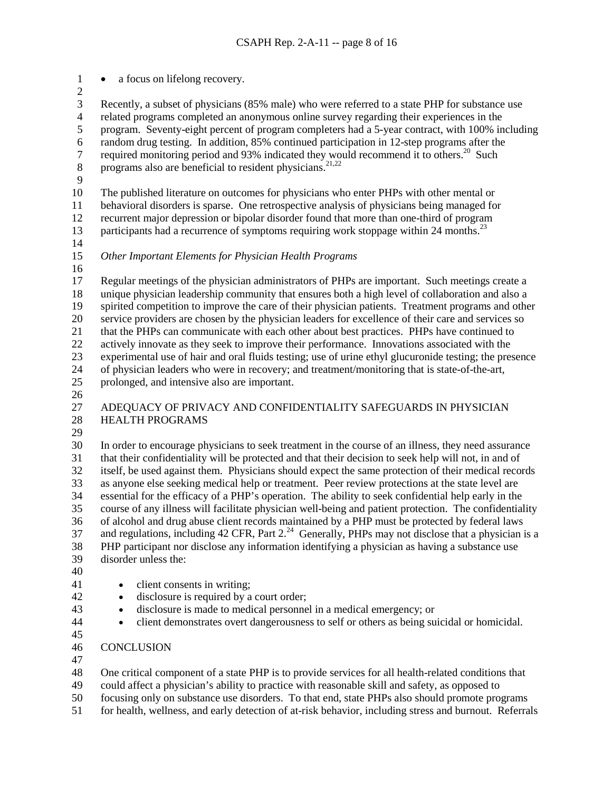1 • a focus on lifelong recovery. Recently, a subset of physicians (85% male) who were referred to a state PHP for substance use related programs completed an anonymous online survey regarding their experiences in the program. Seventy-eight percent of program completers had a 5-year contract, with 100% including random drug testing. In addition, 85% continued participation in 12-step programs after the 7 required monitoring period and 93% indicated they would recommend it to others.<sup>20</sup> Such 8 programs also are beneficial to resident physicians.<sup>21,22</sup> The published literature on outcomes for physicians who enter PHPs with other mental or behavioral disorders is sparse. One retrospective analysis of physicians being managed for recurrent major depression or bipolar disorder found that more than one-third of program 13 participants had a recurrence of symptoms requiring work stoppage within 24 months.<sup>23</sup> *Other Important Elements for Physician Health Programs* Regular meetings of the physician administrators of PHPs are important. Such meetings create a unique physician leadership community that ensures both a high level of collaboration and also a spirited competition to improve the care of their physician patients. Treatment programs and other service providers are chosen by the physician leaders for excellence of their care and services so that the PHPs can communicate with each other about best practices. PHPs have continued to actively innovate as they seek to improve their performance. Innovations associated with the experimental use of hair and oral fluids testing; use of urine ethyl glucuronide testing; the presence of physician leaders who were in recovery; and treatment/monitoring that is state-of-the-art, prolonged, and intensive also are important. ADEQUACY OF PRIVACY AND CONFIDENTIALITY SAFEGUARDS IN PHYSICIAN HEALTH PROGRAMS In order to encourage physicians to seek treatment in the course of an illness, they need assurance that their confidentiality will be protected and that their decision to seek help will not, in and of itself, be used against them. Physicians should expect the same protection of their medical records as anyone else seeking medical help or treatment. Peer review protections at the state level are essential for the efficacy of a PHP's operation. The ability to seek confidential help early in the course of any illness will facilitate physician well-being and patient protection. The confidentiality of alcohol and drug abuse client records maintained by a PHP must be protected by federal laws 37 and regulations, including 42 CFR, Part  $2^{24}$  Generally, PHPs may not disclose that a physician is a PHP participant nor disclose any information identifying a physician as having a substance use disorder unless the: • client consents in writing;

- disclosure is required by a court order;
- disclosure is made to medical personnel in a medical emergency; or
- client demonstrates overt dangerousness to self or others as being suicidal or homicidal.
- 
- CONCLUSION
- 

One critical component of a state PHP is to provide services for all health-related conditions that

- could affect a physician's ability to practice with reasonable skill and safety, as opposed to
- focusing only on substance use disorders. To that end, state PHPs also should promote programs
- for health, wellness, and early detection of at-risk behavior, including stress and burnout. Referrals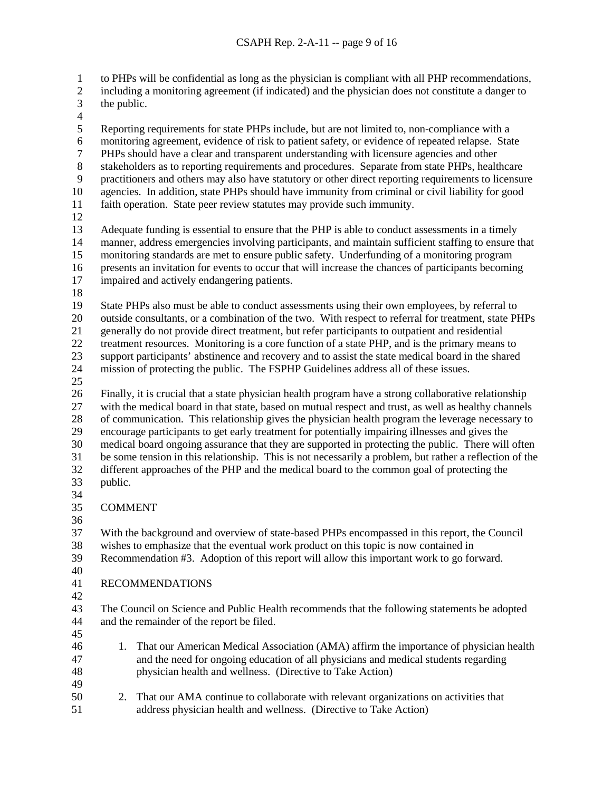to PHPs will be confidential as long as the physician is compliant with all PHP recommendations,

- including a monitoring agreement (if indicated) and the physician does not constitute a danger to the public.
- $\frac{4}{5}$

 Reporting requirements for state PHPs include, but are not limited to, non-compliance with a 6 monitoring agreement, evidence of risk to patient safety, or evidence of repeated relapse. State<br>
The PHPs should have a clear and transparent understanding with licensure agencies and other 7 PHPs should have a clear and transparent understanding with licensure agencies and other<br>8 stakeholders as to reporting requirements and procedures. Separate from state PHPs, health stakeholders as to reporting requirements and procedures. Separate from state PHPs, healthcare practitioners and others may also have statutory or other direct reporting requirements to licensure agencies. In addition, state PHPs should have immunity from criminal or civil liability for good faith operation. State peer review statutes may provide such immunity. 13 Adequate funding is essential to ensure that the PHP is able to conduct assessments in a timely<br>14 manner, address emergencies involving participants, and maintain sufficient staffing to ensure t manner, address emergencies involving participants, and maintain sufficient staffing to ensure that monitoring standards are met to ensure public safety. Underfunding of a monitoring program presents an invitation for events to occur that will increase the chances of participants becoming impaired and actively endangering patients. 

 State PHPs also must be able to conduct assessments using their own employees, by referral to 20 outside consultants, or a combination of the two. With respect to referral for treatment, state PHPs<br>21 generally do not provide direct treatment, but refer participants to outpatient and residential generally do not provide direct treatment, but refer participants to outpatient and residential treatment resources. Monitoring is a core function of a state PHP, and is the primary means to support participants' abstinence and recovery and to assist the state medical board in the shared

mission of protecting the public. The FSPHP Guidelines address all of these issues.

 Finally, it is crucial that a state physician health program have a strong collaborative relationship with the medical board in that state, based on mutual respect and trust, as well as healthy channels of communication. This relationship gives the physician health program the leverage necessary to encourage participants to get early treatment for potentially impairing illnesses and gives the medical board ongoing assurance that they are supported in protecting the public. There will often be some tension in this relationship. This is not necessarily a problem, but rather a reflection of the different approaches of the PHP and the medical board to the common goal of protecting the public. 

- COMMENT
- 

 With the background and overview of state-based PHPs encompassed in this report, the Council wishes to emphasize that the eventual work product on this topic is now contained in Recommendation #3. Adoption of this report will allow this important work to go forward.

## RECOMMENDATIONS

 The Council on Science and Public Health recommends that the following statements be adopted and the remainder of the report be filed.

- 
- 1. That our American Medical Association (AMA) affirm the importance of physician health and the need for ongoing education of all physicians and medical students regarding physician health and wellness. (Directive to Take Action)
- 2. That our AMA continue to collaborate with relevant organizations on activities that address physician health and wellness. (Directive to Take Action)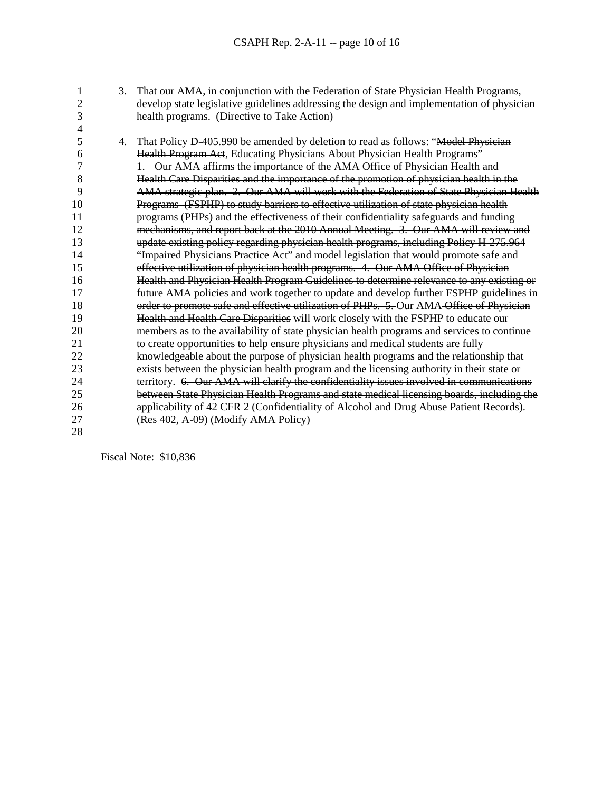|    | 3. | That our AMA, in conjunction with the Federation of State Physician Health Programs,       |
|----|----|--------------------------------------------------------------------------------------------|
| 2  |    | develop state legislative guidelines addressing the design and implementation of physician |
| 3  |    | health programs. (Directive to Take Action)                                                |
| 4  |    |                                                                                            |
| 5  | 4. | That Policy D-405.990 be amended by deletion to read as follows: "Model Physician          |
| 6  |    | Health Program Act, Educating Physicians About Physician Health Programs"                  |
| 7  |    | 1. Our AMA affirms the importance of the AMA Office of Physician Health and                |
| 8  |    | Health Care Disparities and the importance of the promotion of physician health in the     |
| 9  |    | AMA strategic plan. 2. Our AMA will work with the Federation of State Physician Health     |
| 10 |    | Programs (FSPHP) to study barriers to effective utilization of state physician health      |
| 11 |    | programs (PHPs) and the effectiveness of their confidentiality safeguards and funding      |
| 12 |    | mechanisms, and report back at the 2010 Annual Meeting. 3. Our AMA will review and         |
| 13 |    | update existing policy regarding physician health programs, including Policy H-275.964     |
| 14 |    | "Impaired Physicians Practice Act" and model legislation that would promote safe and       |
| 15 |    | effective utilization of physician health programs. 4. Our AMA Office of Physician         |
| 16 |    | Health and Physician Health Program Guidelines to determine relevance to any existing or   |
| 17 |    | future AMA policies and work together to update and develop further FSPHP guidelines in    |
| 18 |    | order to promote safe and effective utilization of PHPs. 5. Our AMA Office of Physician    |
| 19 |    | Health and Health Care Disparities will work closely with the FSPHP to educate our         |
| 20 |    | members as to the availability of state physician health programs and services to continue |
| 21 |    | to create opportunities to help ensure physicians and medical students are fully           |
| 22 |    | knowledgeable about the purpose of physician health programs and the relationship that     |
| 23 |    | exists between the physician health program and the licensing authority in their state or  |
| 24 |    | territory. 6. Our AMA will clarify the confidentiality issues involved in communications   |
| 25 |    | between State Physician Health Programs and state medical licensing boards, including the  |
| 26 |    | applicability of 42 CFR 2 (Confidentiality of Alcohol and Drug Abuse Patient Records).     |
| 27 |    | (Res 402, A-09) (Modify AMA Policy)                                                        |
| 28 |    |                                                                                            |

Fiscal Note: \$10,836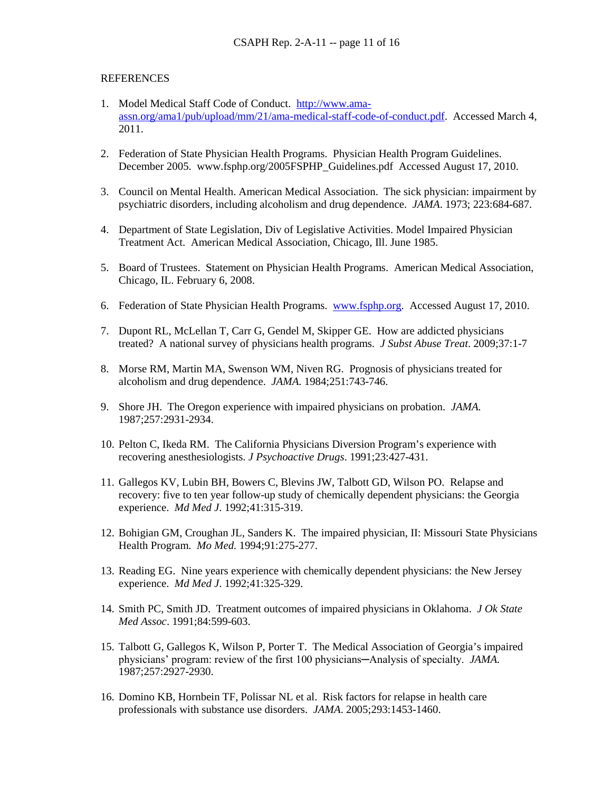## **REFERENCES**

- 1. Model Medical Staff Code of Conduct. [http://www.ama](http://www.ama-assn.org/ama1/pub/upload/mm/21/ama-medical-staff-code-of-conduct.pdf)[assn.org/ama1/pub/upload/mm/21/ama-medical-staff-code-of-conduct.pdf.](http://www.ama-assn.org/ama1/pub/upload/mm/21/ama-medical-staff-code-of-conduct.pdf) Accessed March 4, 2011.
- 2. Federation of State Physician Health Programs. Physician Health Program Guidelines. December 2005. www.fsphp.org/2005FSPHP\_Guidelines.pdf Accessed August 17, 2010.
- 3. Council on Mental Health. American Medical Association. The sick physician: impairment by psychiatric disorders, including alcoholism and drug dependence. *JAMA*. 1973; 223:684-687.
- 4. Department of State Legislation, Div of Legislative Activities. Model Impaired Physician Treatment Act. American Medical Association, Chicago, Ill. June 1985.
- 5. Board of Trustees. Statement on Physician Health Programs. American Medical Association, Chicago, IL. February 6, 2008.
- 6. Federation of State Physician Health Programs. [www.fsphp.org.](http://www.fsphp.org/) Accessed August 17, 2010.
- 7. Dupont RL, McLellan T, Carr G, Gendel M, Skipper GE. How are addicted physicians treated? A national survey of physicians health programs. *J Subst Abuse Treat*. 2009;37:1-7
- 8. Morse RM, Martin MA, Swenson WM, Niven RG. Prognosis of physicians treated for alcoholism and drug dependence. *JAMA*. 1984;251:743-746.
- 9. Shore JH. The Oregon experience with impaired physicians on probation. *JAMA.* 1987;257:2931-2934.
- 10. Pelton C, Ikeda RM. The California Physicians Diversion Program's experience with recovering anesthesiologists. *J Psychoactive Drugs*. 1991;23:427-431.
- 11. Gallegos KV, Lubin BH, Bowers C, Blevins JW, Talbott GD, Wilson PO. Relapse and recovery: five to ten year follow-up study of chemically dependent physicians: the Georgia experience. *Md Med J*. 1992;41:315-319.
- 12. Bohigian GM, Croughan JL, Sanders K. The impaired physician, II: Missouri State Physicians Health Program. *Mo Med.* 1994;91:275-277.
- 13. Reading EG. Nine years experience with chemically dependent physicians: the New Jersey experience. *Md Med J*. 1992;41:325-329.
- 14. Smith PC, Smith JD. Treatment outcomes of impaired physicians in Oklahoma. *J Ok State Med Assoc*. 1991;84:599-603.
- 15. Talbott G, Gallegos K, Wilson P, Porter T. The Medical Association of Georgia's impaired physicians' program: review of the first 100 physicians─Analysis of specialty. *JAMA.* 1987;257:2927-2930.
- 16. Domino KB, Hornbein TF, Polissar NL et al. Risk factors for relapse in health care professionals with substance use disorders. *JAMA*. 2005;293:1453-1460.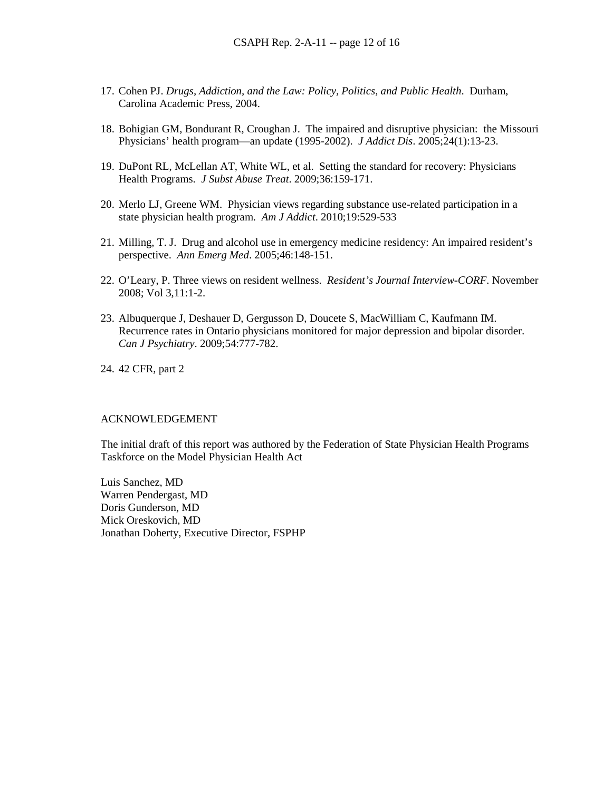- 17. Cohen PJ. *Drugs, Addiction, and the Law: Policy, Politics, and Public Health*. Durham, Carolina Academic Press, 2004.
- 18. Bohigian GM, Bondurant R, Croughan J. The impaired and disruptive physician: the Missouri Physicians' health program—an update (1995-2002). *J Addict Dis*. 2005;24(1):13-23.
- 19. DuPont RL, McLellan AT, White WL, et al. Setting the standard for recovery: Physicians Health Programs. *J Subst Abuse Treat*. 2009;36:159-171.
- 20. Merlo LJ, Greene WM. Physician views regarding substance use-related participation in a state physician health program. *Am J Addict*. 2010;19:529-533
- 21. Milling, T. J. Drug and alcohol use in emergency medicine residency: An impaired resident's perspective. *Ann Emerg Med*. 2005;46:148-151.
- 22. O'Leary, P. Three views on resident wellness. *Resident's Journal Interview-CORF*. November 2008; Vol 3,11:1-2.
- 23. Albuquerque J, Deshauer D, Gergusson D, Doucete S, MacWilliam C, Kaufmann IM. Recurrence rates in Ontario physicians monitored for major depression and bipolar disorder. *Can J Psychiatry*. 2009;54:777-782.

24. 42 CFR, part 2

#### ACKNOWLEDGEMENT

The initial draft of this report was authored by the Federation of State Physician Health Programs Taskforce on the Model Physician Health Act

Luis Sanchez, MD Warren Pendergast, MD Doris Gunderson, MD Mick Oreskovich, MD Jonathan Doherty, Executive Director, FSPHP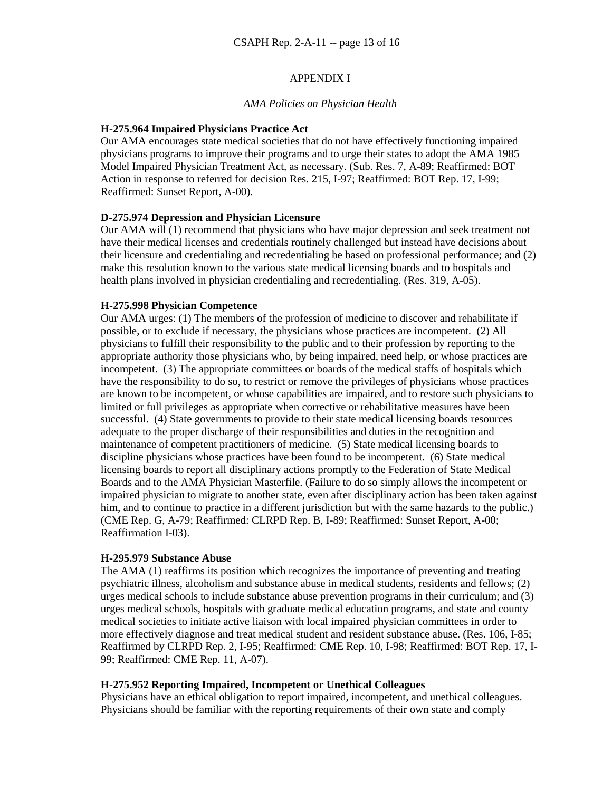## APPENDIX I

#### *AMA Policies on Physician Health*

## **H-275.964 Impaired Physicians Practice Act**

Our AMA encourages state medical societies that do not have effectively functioning impaired physicians programs to improve their programs and to urge their states to adopt the AMA 1985 Model Impaired Physician Treatment Act, as necessary. (Sub. Res. 7, A-89; Reaffirmed: BOT Action in response to referred for decision Res. 215, I-97; Reaffirmed: BOT Rep. 17, I-99; Reaffirmed: Sunset Report, A-00).

## **D-275.974 Depression and Physician Licensure**

Our AMA will (1) recommend that physicians who have major depression and seek treatment not have their medical licenses and credentials routinely challenged but instead have decisions about their licensure and credentialing and recredentialing be based on professional performance; and (2) make this resolution known to the various state medical licensing boards and to hospitals and health plans involved in physician credentialing and recredentialing. (Res. 319, A-05).

#### **H-275.998 Physician Competence**

Our AMA urges: (1) The members of the profession of medicine to discover and rehabilitate if possible, or to exclude if necessary, the physicians whose practices are incompetent. (2) All physicians to fulfill their responsibility to the public and to their profession by reporting to the appropriate authority those physicians who, by being impaired, need help, or whose practices are incompetent. (3) The appropriate committees or boards of the medical staffs of hospitals which have the responsibility to do so, to restrict or remove the privileges of physicians whose practices are known to be incompetent, or whose capabilities are impaired, and to restore such physicians to limited or full privileges as appropriate when corrective or rehabilitative measures have been successful. (4) State governments to provide to their state medical licensing boards resources adequate to the proper discharge of their responsibilities and duties in the recognition and maintenance of competent practitioners of medicine. (5) State medical licensing boards to discipline physicians whose practices have been found to be incompetent. (6) State medical licensing boards to report all disciplinary actions promptly to the Federation of State Medical Boards and to the AMA Physician Masterfile. (Failure to do so simply allows the incompetent or impaired physician to migrate to another state, even after disciplinary action has been taken against him, and to continue to practice in a different jurisdiction but with the same hazards to the public.) (CME Rep. G, A-79; Reaffirmed: CLRPD Rep. B, I-89; Reaffirmed: Sunset Report, A-00; Reaffirmation I-03).

## **H-295.979 Substance Abuse**

The AMA (1) reaffirms its position which recognizes the importance of preventing and treating psychiatric illness, alcoholism and substance abuse in medical students, residents and fellows; (2) urges medical schools to include substance abuse prevention programs in their curriculum; and (3) urges medical schools, hospitals with graduate medical education programs, and state and county medical societies to initiate active liaison with local impaired physician committees in order to more effectively diagnose and treat medical student and resident substance abuse. (Res. 106, I-85; Reaffirmed by CLRPD Rep. 2, I-95; Reaffirmed: CME Rep. 10, I-98; Reaffirmed: BOT Rep. 17, I-99; Reaffirmed: CME Rep. 11, A-07).

## **H-275.952 Reporting Impaired, Incompetent or Unethical Colleagues**

Physicians have an ethical obligation to report impaired, incompetent, and unethical colleagues. Physicians should be familiar with the reporting requirements of their own state and comply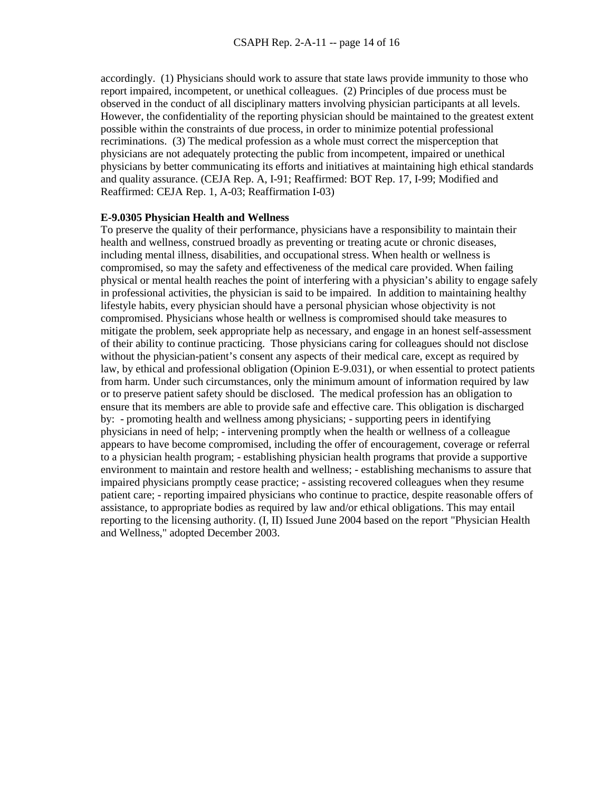accordingly. (1) Physicians should work to assure that state laws provide immunity to those who report impaired, incompetent, or unethical colleagues. (2) Principles of due process must be observed in the conduct of all disciplinary matters involving physician participants at all levels. However, the confidentiality of the reporting physician should be maintained to the greatest extent possible within the constraints of due process, in order to minimize potential professional recriminations. (3) The medical profession as a whole must correct the misperception that physicians are not adequately protecting the public from incompetent, impaired or unethical physicians by better communicating its efforts and initiatives at maintaining high ethical standards and quality assurance. (CEJA Rep. A, I-91; Reaffirmed: BOT Rep. 17, I-99; Modified and Reaffirmed: CEJA Rep. 1, A-03; Reaffirmation I-03)

#### **E-9.0305 Physician Health and Wellness**

To preserve the quality of their performance, physicians have a responsibility to maintain their health and wellness, construed broadly as preventing or treating acute or chronic diseases, including mental illness, disabilities, and occupational stress. When health or wellness is compromised, so may the safety and effectiveness of the medical care provided. When failing physical or mental health reaches the point of interfering with a physician's ability to engage safely in professional activities, the physician is said to be impaired. In addition to maintaining healthy lifestyle habits, every physician should have a personal physician whose objectivity is not compromised. Physicians whose health or wellness is compromised should take measures to mitigate the problem, seek appropriate help as necessary, and engage in an honest self-assessment of their ability to continue practicing. Those physicians caring for colleagues should not disclose without the physician-patient's consent any aspects of their medical care, except as required by law, by ethical and professional obligation (Opinion E-9.031), or when essential to protect patients from harm. Under such circumstances, only the minimum amount of information required by law or to preserve patient safety should be disclosed. The medical profession has an obligation to ensure that its members are able to provide safe and effective care. This obligation is discharged by: - promoting health and wellness among physicians; - supporting peers in identifying physicians in need of help; - intervening promptly when the health or wellness of a colleague appears to have become compromised, including the offer of encouragement, coverage or referral to a physician health program; - establishing physician health programs that provide a supportive environment to maintain and restore health and wellness; - establishing mechanisms to assure that impaired physicians promptly cease practice; - assisting recovered colleagues when they resume patient care; - reporting impaired physicians who continue to practice, despite reasonable offers of assistance, to appropriate bodies as required by law and/or ethical obligations. This may entail reporting to the licensing authority. (I, II) Issued June 2004 based on the report "Physician Health and Wellness," adopted December 2003.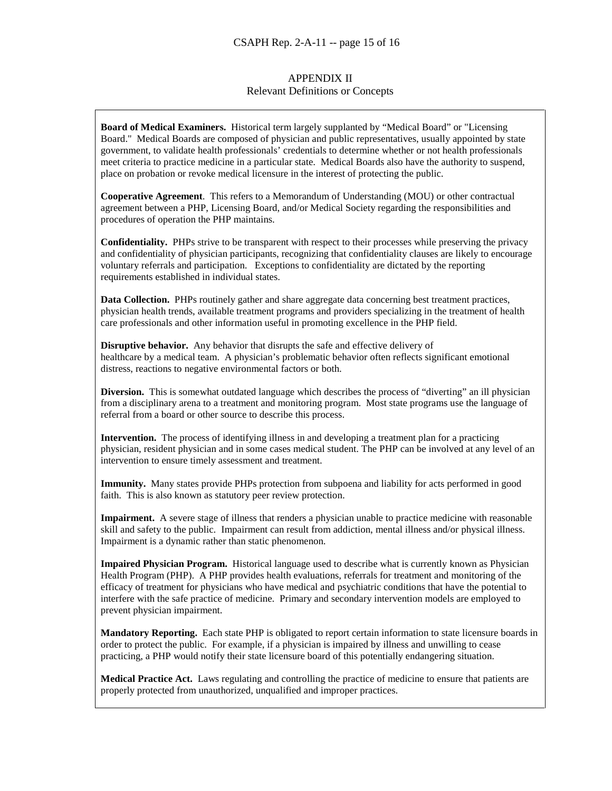#### APPENDIX II Relevant Definitions or Concepts

**Board of Medical Examiners.** Historical term largely supplanted by "Medical Board" or "Licensing Board." Medical Boards are composed of physician and public representatives, usually appointed by state government, to validate health professionals' credentials to determine whether or not health professionals meet criteria to practice medicine in a particular state. Medical Boards also have the authority to suspend, place on probation or revoke medical licensure in the interest of protecting the public.

**Cooperative Agreement**. This refers to a Memorandum of Understanding (MOU) or other contractual agreement between a PHP, Licensing Board, and/or Medical Society regarding the responsibilities and procedures of operation the PHP maintains.

**Confidentiality.** PHPs strive to be transparent with respect to their processes while preserving the privacy and confidentiality of physician participants, recognizing that confidentiality clauses are likely to encourage voluntary referrals and participation. Exceptions to confidentiality are dictated by the reporting requirements established in individual states.

**Data Collection.** PHPs routinely gather and share aggregate data concerning best treatment practices, physician health trends, available treatment programs and providers specializing in the treatment of health care professionals and other information useful in promoting excellence in the PHP field.

**Disruptive behavior.** Any behavior that disrupts the safe and effective delivery of healthcare by a medical team. A physician's problematic behavior often reflects significant emotional distress, reactions to negative environmental factors or both.

**Diversion.** This is somewhat outdated language which describes the process of "diverting" an ill physician from a disciplinary arena to a treatment and monitoring program. Most state programs use the language of referral from a board or other source to describe this process.

**Intervention.** The process of identifying illness in and developing a treatment plan for a practicing physician, resident physician and in some cases medical student. The PHP can be involved at any level of an intervention to ensure timely assessment and treatment.

**Immunity.** Many states provide PHPs protection from subpoena and liability for acts performed in good faith. This is also known as statutory peer review protection.

**Impairment.** A severe stage of illness that renders a physician unable to practice medicine with reasonable skill and safety to the public. Impairment can result from addiction, mental illness and/or physical illness. Impairment is a dynamic rather than static phenomenon.

**Impaired Physician Program.** Historical language used to describe what is currently known as Physician Health Program (PHP). A PHP provides health evaluations, referrals for treatment and monitoring of the efficacy of treatment for physicians who have medical and psychiatric conditions that have the potential to interfere with the safe practice of medicine. Primary and secondary intervention models are employed to prevent physician impairment.

**Mandatory Reporting.** Each state PHP is obligated to report certain information to state licensure boards in order to protect the public. For example, if a physician is impaired by illness and unwilling to cease practicing, a PHP would notify their state licensure board of this potentially endangering situation.

**Medical Practice Act.** Laws regulating and controlling the practice of medicine to ensure that patients are properly protected from unauthorized, unqualified and improper practices.